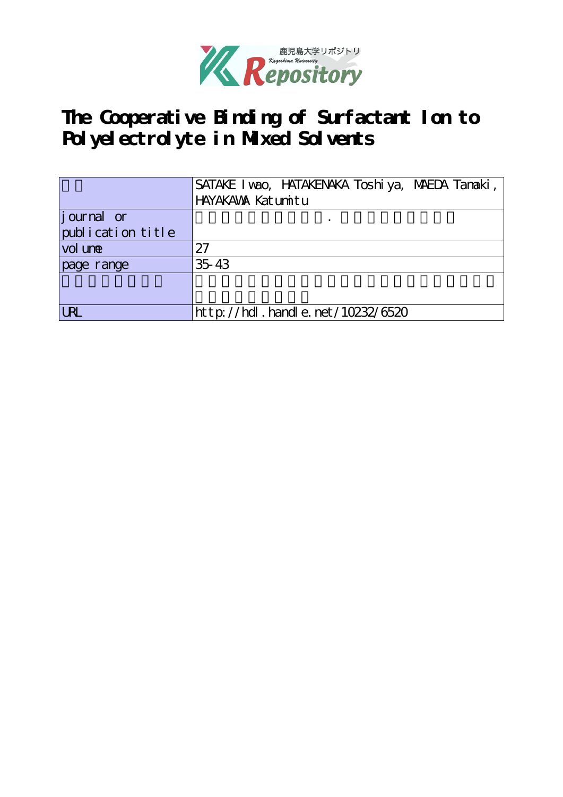

**The Cooperative Binding of Surfactant Ion to Polyelectrolyte in Mixed Solvents**

|                   | SATAKE I vao, HATAKENAKA Toshi ya, MAEDA Tanaki, |
|-------------------|--------------------------------------------------|
|                   | HAYAKAWA Katumitu                                |
| journal or        |                                                  |
| publication title |                                                  |
| vol une           | 27                                               |
| page range        | 35 43                                            |
|                   |                                                  |
|                   |                                                  |
| <b>LRL</b>        | $http$ ://hdl. handle. net/10232/6520            |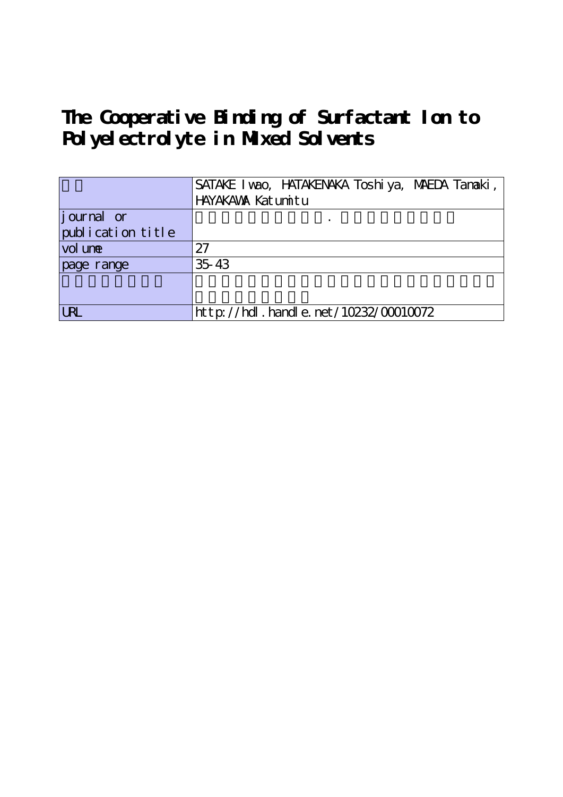**The Cooperative Binding of Surfactant Ion to Polyelectrolyte in Mixed Solvents**

|                   | SATAKE I vao, HATAKENAKA Toshi ya, MAEDA Tanaki, |
|-------------------|--------------------------------------------------|
|                   | HAYAKAWA Katumitu                                |
| journal or        |                                                  |
| publication title |                                                  |
| vol une           | 27                                               |
| page range        | 35 43                                            |
|                   |                                                  |
|                   |                                                  |
| <b>LRL</b>        | $http://hdl. handle. net/10232/00010072$         |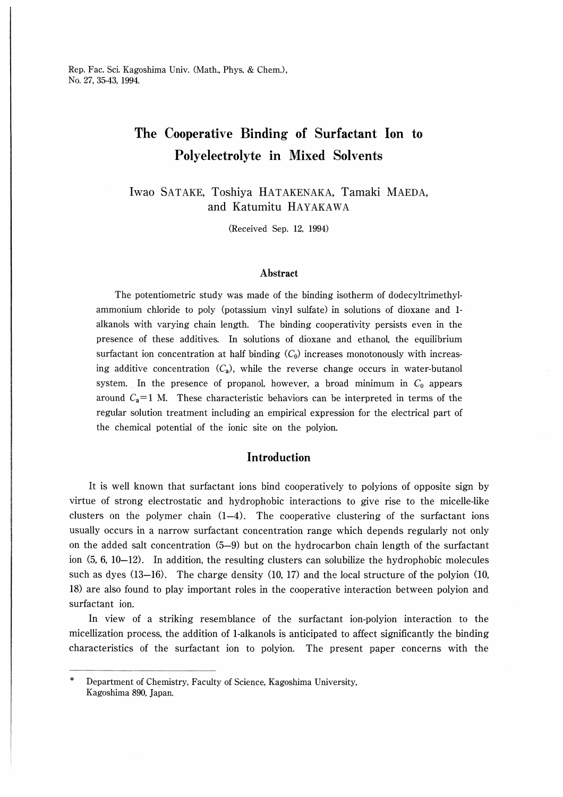# The Cooperative Binding of Surfactant Ion to Polyelectrolyte in Mixed Solvents

Iwao SATAKE, Toshiya HATAKENAKA, Tamaki MAEDA, and Katumitu HAYAKAWA

(Received Sep. 12, 1994)

### Abstract

The potentiometric study was made of the binding isotherm of dodecyltrimethylammonium chloride to poly (potassium vinyl sulfate) in solutions of dioxane and 1 alkanols with varying chain length. The binding cooperativity persists even in the presence of these additives. In solutions of dioxane and ethanol, the equilibrium surfactant ion concentration at half binding  $(C_0)$  increases monotonously with increasing additive concentration  $(C_a)$ , while the reverse change occurs in water-butanol system. In the presence of propanol, however, a broad minimum in  $C_0$  appears around  $C_a=1$  M. These characteristic behaviors can be interpreted in terms of the regular solution treatment including an empirical expression for the electrical part of the chemical potential of the ionic site on the polyion.

## Introduction

It is well known that surfactant ions bind cooperatively to polyions of opposite sign by virtue of strong electrostatic and hydrophobic interactions to give rise to the micelle-like clusters on the polymer chain  $(1-4)$ . The cooperative clustering of the surfactant ions usually occurs in a narrow surfactant concentration range which depends regularly not only on the added salt concentration (5-9) but on the hydrocarbon chain length of the surfactant ion  $(5, 6, 10-12)$ . In addition, the resulting clusters can solubilize the hydrophobic molecules such as dyes (13-16). The charge density (10, 17) and the local structure of the polyion (10, 18) are also found to play important roles in the cooperative interaction between polyion and surfactant ion.

In view of a striking resemblance of the surfactant ion-polyion interaction to the micellization process, the addition of 1-alkanols is anticipated to affect significantly the binding characteristics of the surfactant ion to polyion. The present paper concerns with the

Department of Chemistry, Faculty of Science, Kagoshima University, Kagoshima 890, Japan.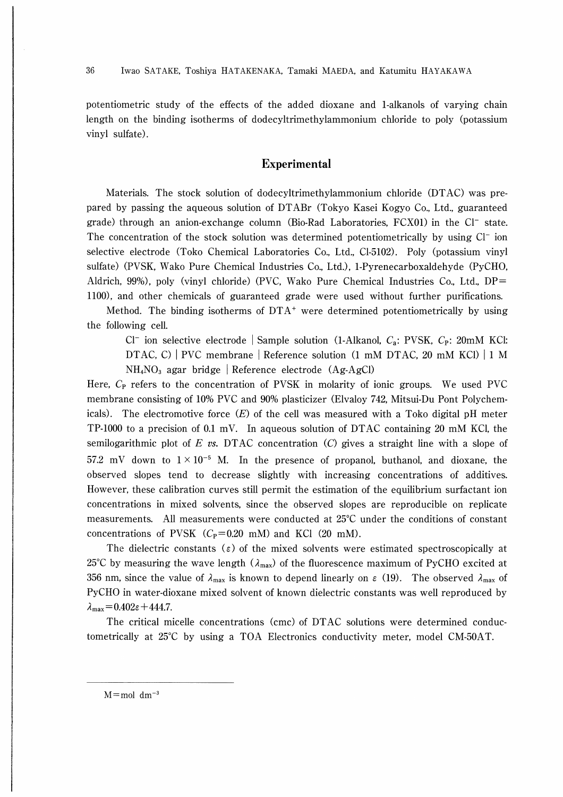potentiometric study of the effects of the added dioxane and 1-alkanols of varying chain length on the binding isotherms of dodecyltrimethylammonium chloride to poly (potassium vinyl sulfate).

# Experimental

Materials. The stock solution of dodecyltrimethylammonium chloride (DTAC) was prepared by passing the aqueous solution of DTABr (Tokyo Kasei Kogyo Co., Ltd., guaranteed grade) through an anion-exchange column (Bio-Rad Laboratories,  $FCX01$ ) in the  $Cl^-$  state. The concentration of the stock solution was determined potentiometrically by using  $Cl^-$  ion selective electrode (Toko Chemical Laboratories Co., Ltd., Cl-5102). Poly (potassium vinyl sulfate) (PVSK, Wako Pure Chemical Industries Co., Ltd.), 1-Pyrenecarboxaldehyde (PyCHO, Aldrich, 99%), poly (vinyl chloride) (PVC, Wako Pure Chemical Industries Co., Ltd., DP= 1100), and other chemicals of guaranteed grade were used without further purifications.

Method. The binding isotherms of  $DTA<sup>+</sup>$  were determined potentiometrically by using the following cell.

Cl<sup>-</sup> ion selective electrode | Sample solution (1-Alkanol,  $C_a$ : PVSK,  $C_p$ : 20mM KCl: DTAC, C) | PVC membrane | Reference solution (1 mM DTAC, 20 mM KCl) | 1 M  $NH<sub>4</sub>NO<sub>3</sub>$  agar bridge Reference electrode (Ag-AgCl)

Here, Cp refers to the concentration of PVSK in molarity of ionic groups. We used PVC membrane consisting of 10% PVC and 90% plasticizer (Elvaloy 742, Mitsui-Du Pont Polychemicals). The electromotive force  $(E)$  of the cell was measured with a Toko digital pH meter TP-1000 to a precision of 0.1 mV. In aqueous solution of DTAC containing 20 mM KCl, the semilogarithmic plot of E vs. DTAC concentration (C) gives a straight line with a slope of 57.2 mV down to  $1 \times 10^{-5}$  M. In the presence of propanol, buthanol, and dioxane, the observed slopes tend to decrease slightly with increasing concentrations of additives. However, these calibration curves still permit the estimation of the equilibrium surfactant ion concentrations in mixed solvents, since the observed slopes are reproducible on replicate measurements. All measurements were conducted at  $25^{\circ}$ C under the conditions of constant concentrations of PVSK  $(C_P=0.20 \text{ mM})$  and KCl (20 mM).

The dielectric constants ( $\varepsilon$ ) of the mixed solvents were estimated spectroscopically at 25<sup>°</sup>C by measuring the wave length ( $\lambda_{\text{max}}$ ) of the fluorescence maximum of PyCHO excited at 356 nm, since the value of  $\lambda_{\text{max}}$  is known to depend linearly on  $\varepsilon$  (19). The observed  $\lambda_{\text{max}}$  of PyCHO in water-dioxane mixed solvent of known dielectric constants was well reproduced by  $\lambda_{\text{max}} = 0.402\varepsilon + 444.7.$ 

The critical micelle concentrations (cmc) of DTAC solutions were determined conductometrically at 25°C by using a TOA Electronics conductivity meter, model CM-50AT.

 $M = mol$  dm<sup>-3</sup>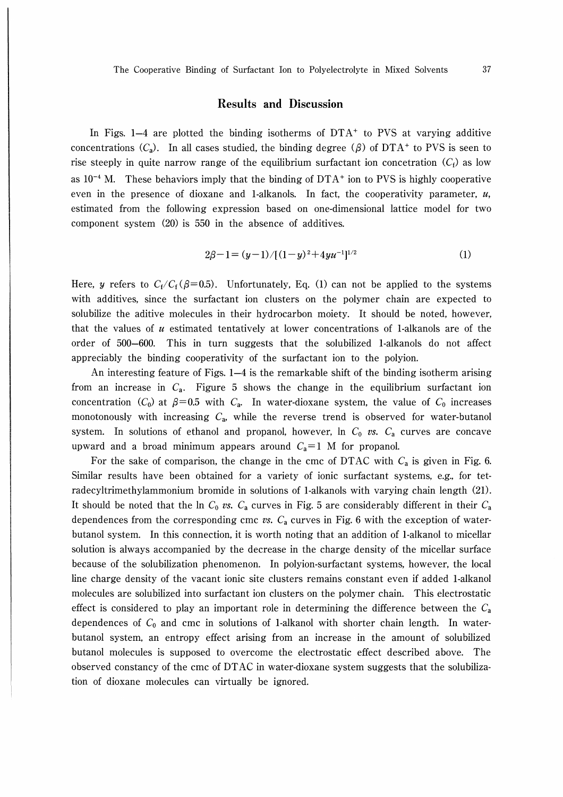## Results and Discussion

In Figs.  $1-4$  are plotted the binding isotherms of  $DTA<sup>+</sup>$  to PVS at varying additive concentrations  $(C_a)$ . In all cases studied, the binding degree  $(\beta)$  of DTA<sup>+</sup> to PVS is seen to rise steeply in quite narrow range of the equilibrium surfactant ion concetration  $(C_t)$  as low as  $10^{-4}$  M. These behaviors imply that the binding of DTA<sup>+</sup> ion to PVS is highly cooperative even in the presence of dioxane and 1-alkanols. In fact, the cooperativity parameter,  $u$ , estimated from the following expression based on one-dimensional lattice model for two component system (20) is 550 in the absence of additives.

$$
2\beta - 1 = (y - 1) / [(1 - y)^2 + 4yu^{-1}]^{1/2}
$$
 (1)

Here, y refers to  $C_f/C_f(\beta=0.5)$ . Unfortunately, Eq. (1) can not be applied to the systems with additives, since the surfactant ion clusters on the polymer chain are expected to solubilize the aditive molecules in their hydrocarbon moiety. It should be noted, however, that the values of  $u$  estimated tentatively at lower concentrations of 1-alkanols are of the order of 500-600. This in turn suggests that the solubilized 1-alkanols do not affect appreciably the binding cooperativity of the surfactant ion to the polyion.

An interesting feature of Figs. 1-4 is the remarkable shift of the binding isotherm arising from an increase in  $C_a$ . Figure 5 shows the change in the equilibrium surfactant ion concentration (C<sub>0</sub>) at  $\beta$ =0.5 with C<sub>a</sub>. In water-dioxane system, the value of C<sub>0</sub> increases monotonously with increasing  $C_a$ , while the reverse trend is observed for water-butanol system. In solutions of ethanol and propanol, however, ln  $C_0$  vs.  $C_a$  curves are concave upward and a broad minimum appears around  $C_a=1$  M for propanol.

For the sake of comparison, the change in the cmc of DTAC with  $C_a$  is given in Fig. 6. Similar results have been obtained for a variety of ionic surfactant systems, e.g., for tetradecyltrimethylammonium bromide in solutions of 1-alkanols with varying chain length (21). It should be noted that the ln  $C_0$  vs.  $C_a$  curves in Fig. 5 are considerably different in their  $C_a$ dependences from the corresponding cmc vs.  $C_a$  curves in Fig. 6 with the exception of waterbutanol system. In this connection, it is worth noting that an addition of 1-alkanol to micellar solution is always accompanied by the decrease in the charge density of the micellar surface because of the solubilization phenomenon. In polyion-surfactant systems, however, the local line charge density of the vacant ionic site clusters remains constant even if added 1-alkanol molecules are solubilized into surfactant ion clusters on the polymer chain. This electrostatic effect is considered to play an important role in determining the difference between the  $C_a$ dependences of  $C_0$  and cmc in solutions of 1-alkanol with shorter chain length. In waterbutanol system, an entropy effect arising from an increase in the amount of solubilized butanol molecules is supposed to overcome the electrostatic effect described above. The observed constancy of the cmc of DTAC in water-dioxane system suggests that the solubilization of dioxane molecules can virtually be ignored.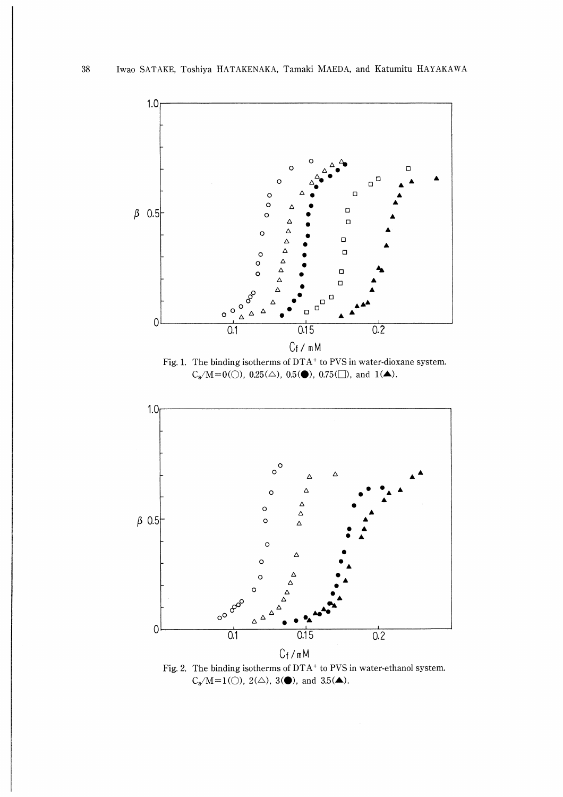

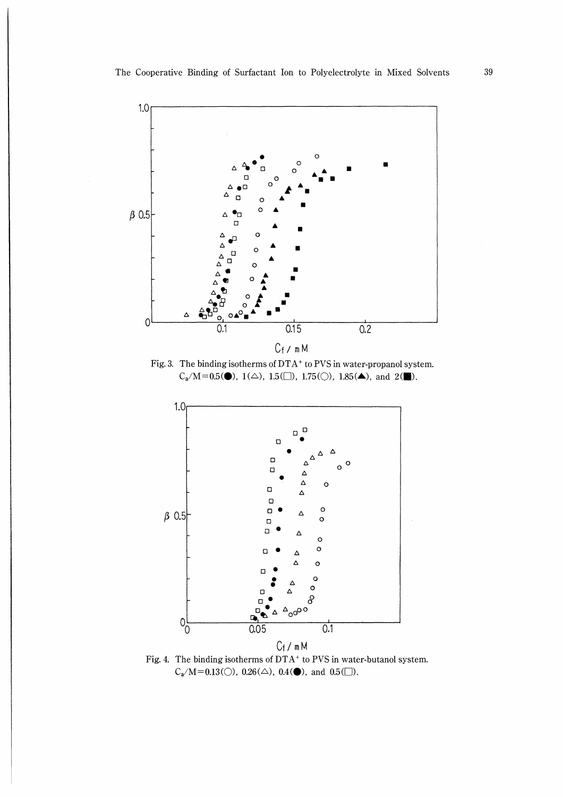

Fig. 4. The binding isotherms of  $DTA<sup>+</sup>$  to PVS in water-butanol system.  $C_a/M=0.13(\bigcirc)$ ,  $0.26(\bigtriangleup)$ ,  $0.4(\bigcirc)$ , and  $0.5(\bigcirc)$ .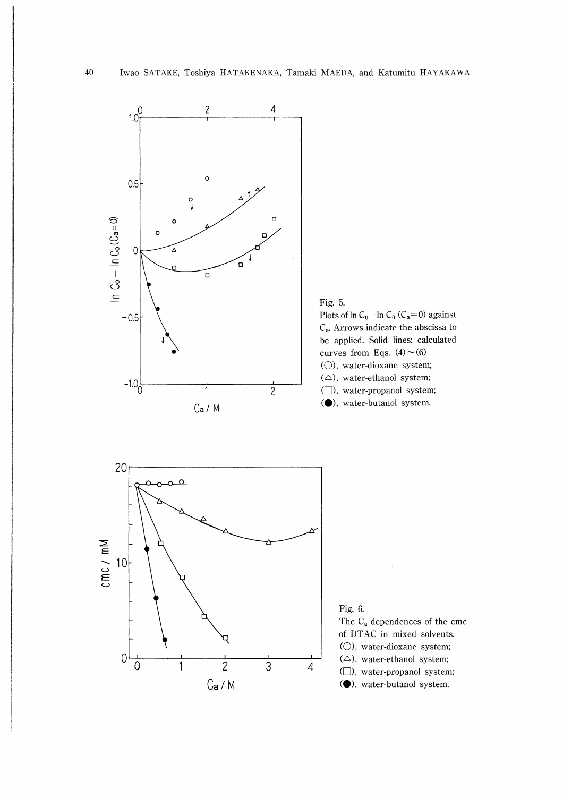

Fig. 5. Plots of  $\ln C_0$ -In  $C_0$  (C<sub>a</sub>=0) against Ca. Arrows indicate the abscissa to be applied. Solid lines: calculated curves from Eqs.  $(4) \sim (6)$ (○), water-dioxane system;  $(\triangle)$ , water-ethanol system; (□), water-propanol system; (�), water-butanol system.



Fig. 6. The Ca dependences of the cmc of DTAC in mixed solvents. (○), water-dioxane system;  $(\triangle)$ , water-ethanol system; (□), water-propanol system; (�), water-butanol system.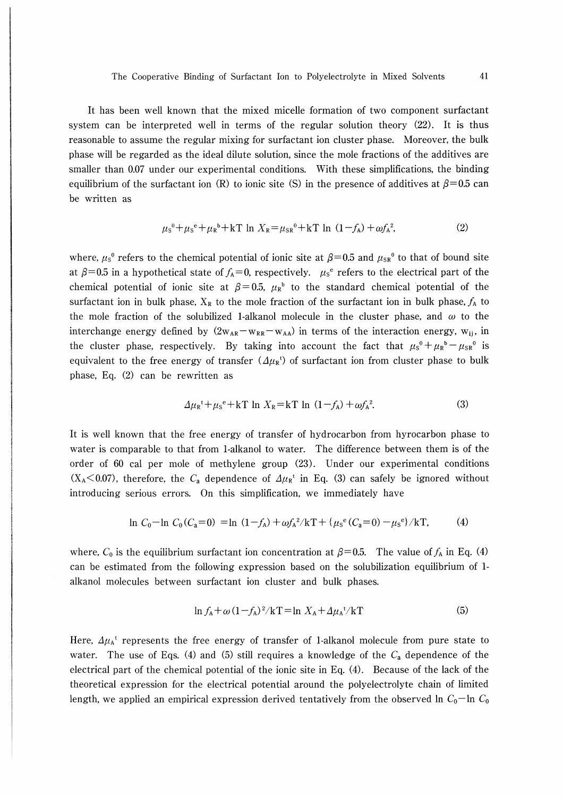It has been well known that the mixed micelle formation of two component surfactant system can be interpreted well in terms of the regular solution theory (22). It is thus reasonable to assume the regular mixing for surfactant ion cluster phase. Moreover, the bulk phase will be regarded as the ideal dilute solution, since the mole fractions of the additives are smaller than 0.07 under our experimental conditions. With these simplifications, the binding equilibrium of the surfactant ion (R) to ionic site (S) in the presence of additives at  $\beta$ =0.5 can be written as

$$
\mu_{\rm s}^{\circ} + \mu_{\rm s}^{\circ} + \mu_{\rm R}^{\circ} + \text{kT} \ln X_{\rm R} = \mu_{\rm sR}^{\circ} + \text{kT} \ln (1 - f_{\rm A}) + \omega f_{\rm A}^{\circ},\tag{2}
$$

where,  $\mu_s^0$  refers to the chemical potential of ionic site at  $\beta$ =0.5 and  $\mu_{SR}^0$  to that of bound site at  $\beta$ =0.5 in a hypothetical state of  $f_A=0$ , respectively.  $\mu_s^e$  refers to the electrical part of the chemical potential of ionic site at  $\beta = 0.5$ ,  $\mu_R^b$  to the standard chemical potential of the surfactant ion in bulk phase,  $X_R$  to the mole fraction of the surfactant ion in bulk phase,  $f_A$  to the mole fraction of the solubilized 1-alkanol molecule in the cluster phase, and  $\omega$  to the interchange energy defined by  $(2w_{AR}-w_{RR}-w_{AA})$  in terms of the interaction energy,  $w_{ii}$ , in the cluster phase, respectively. By taking into account the fact that  $\mu_s^0+\mu_k^0-\mu_{SR}^0$  is equivalent to the free energy of transfer  $(\Delta \mu_R t)$  of surfactant ion from cluster phase to bulk phase, Eq. (2) can be rewritten as

$$
\Delta\mu_{\mathsf{R}}^{\mathsf{t}} + \mu_{\mathsf{S}}^{\mathsf{e}} + \mathsf{k}\mathsf{T} \ln X_{\mathsf{R}} = \mathsf{k}\mathsf{T} \ln (1 - f_{\mathsf{A}}) + \omega f_{\mathsf{A}}^2. \tag{3}
$$

It is well known that the free energy of transfer of hydrocarbon from hyrocarbon phase to water is comparable to that from 1-alkanol to water. The difference between them is of the order of 60 cal per mole of methylene group (23). Under our experimental conditions  $(X_A<0.07)$ , therefore, the C<sub>a</sub> dependence of  $\Delta \mu_R$ <sup>t</sup> in Eq. (3) can safely be ignored without introducing serious errors. On this simplification, we immediately have

$$
\ln C_0 - \ln C_0 (C_a = 0) = \ln (1 - f_A) + \omega f_A^2 / kT + {\mu_s^e (C_a = 0) - \mu_s^e} / kT, \tag{4}
$$

where,  $C_0$  is the equilibrium surfactant ion concentration at  $\beta = 0.5$ . The value of  $f_A$  in Eq. (4) can be estimated from the following expression based on the solubilization equilibrium of 1 alkanol molecules between surfactant ion cluster and bulk phases.

$$
\ln f_{A} + \omega (1 - f_{A})^2 / kT = \ln X_{A} + \Delta \mu_{A}^{t} / kT
$$
 (5)

Here,  $\Delta \mu_A$ <sup>t</sup> represents the free energy of transfer of 1-alkanol molecule from pure state to water. The use of Eqs. (4) and (5) still requires a knowledge of the  $C_a$  dependence of the electrical part of the chemical potential of the ionic site in Eq. (4). Because of the lack of the theoretical expression for the electrical potential around the polyelectrolyte chain of limited length, we applied an empirical expression derived tentatively from the observed  $\ln C_0$ -In  $C_0$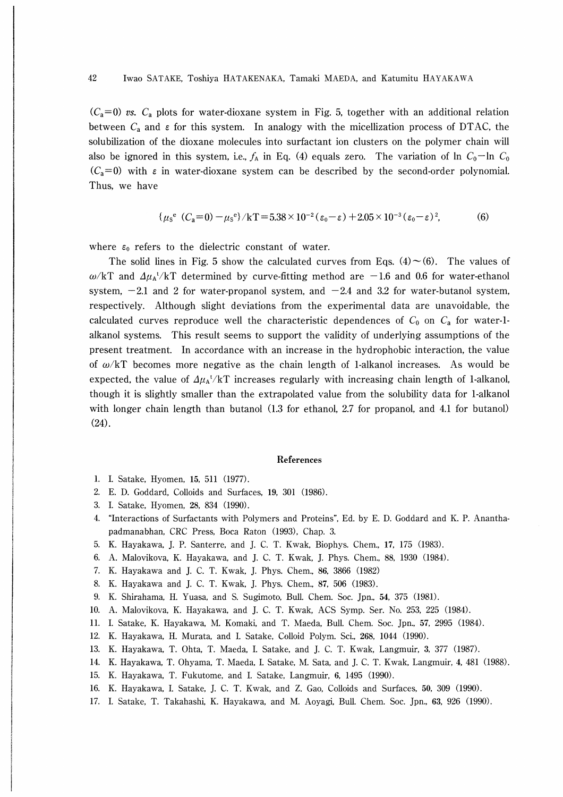$(C_a=0)$  vs.  $C_a$  plots for water-dioxane system in Fig. 5, together with an additional relation between  $C_a$  and  $\varepsilon$  for this system. In analogy with the micellization process of DTAC, the solubilization of the dioxane molecules into surfactant ion clusters on the polymer chain will also be ignored in this system, i.e.,  $f_A$  in Eq. (4) equals zero. The variation of  $\ln C_0$ — $\ln C_0$  $(C_a=0)$  with  $\varepsilon$  in water-dioxane system can be described by the second-order polynomial. Thus, we have

$$
\{\mu_s^e (C_a=0) - \mu_s^e\}/kT = 5.38 \times 10^{-2} (\varepsilon_0 - \varepsilon) + 2.05 \times 10^{-3} (\varepsilon_0 - \varepsilon)^2,\tag{6}
$$

where  $\varepsilon_0$  refers to the dielectric constant of water.

The solid lines in Fig. 5 show the calculated curves from Eqs. (4) $\sim$  (6). The values of  $\omega/kT$  and  $\Delta\mu_A t/kT$  determined by curve-fitting method are -1.6 and 0.6 for water-ethanol system,  $-2.1$  and 2 for water-propanol system, and  $-2.4$  and 3.2 for water-butanol system, respectively. Although slight deviations from the experimental data are unavoidable, the calculated curves reproduce well the characteristic dependences of  $C_0$  on  $C_a$  for water-1alkanol systems. This result seems to support the validity of underlying assumptions of the present treatment. In accordance with an increase in the hydrophobic interaction, the value of  $\omega/kT$  becomes more negative as the chain length of 1-alkanol increases. As would be expected, the value of  $\Delta \mu_A / kT$  increases regularly with increasing chain length of 1-alkanol, though it is slightly smaller than the extrapolated value from the solubility data for 1-alkanol with longer chain length than butanol (1.3 for ethanol, 2.7 for propanol, and 4.1 for butanol) (24).

### References

- 1. I. Satake, Hyomen, 15, 511 (1977).
- 2. E. D. Goddard, Colloids and Surfaces, 19, 301 (1986).
- 3. I. Satake, Hyomen, 28, 834 (1990).
- 4. "Interactions of Surfactants with Polymers and Proteins", Ed. by E. D. Goddard and K. P. Ananthapadmanabhan, CRC Press, Boca Raton (1993), Chap. 3.
- 5. K. Hayakawa, T. P. Santerre, and J. C. T. Kwak, Biophys. Chem., 17, 175 (1983).
- 6. A. Malovikova, K. Hayakawa, and J. C. T. Kwak, J. Phys. Chem., 88, 1930 (1984).
- 7. K. Hayakawa and J. C. T. Kwak, J. Phys. Chem., 86, 3866 (1982)
- 8. K. Hayakawa and J. C. T. Kwak, J. Phys. Chem., 87, 506 (1983).
- 9. K. Shirahama, H. Yuasa, and S. Sugimoto, Bull. Chem. Soc. Jpn., 54, 375 (1981).
- 10. A. Malovikova, K. Hayakawa, and J. C. T. Kwak, ACS Symp. Ser. No. 253, 225 (1984).
- ll. I. Satake, K. Hayakawa, M. Komaki, and T. Maeda, Bull. Chem. Soc. Jpn., 57, 2995 (1984).
- 12. K. Hayakawa, H. Murata, and I. Satake, Colloid Polym. Sci., 268, 1044 (1990).
- 13. K. Hayakawa, T. Ohta, T. Maeda, I. Satake, and J. C. T. Kwak, Langmuir, 3, 377 (1987).
- 14. K. Hayakawa, T. Ohyama, T. Maeda, I. Satake, M. Sata, and J. C. T. Kwak, Langmuir, 4, 481 (1988).
- 15. K. Hayakawa, T. Fukutome, and I. Satake, Langmuir, 6, 1495 (1990).
- 16. K. Hayakawa, I. Satake, J. C. T. Kwak, and Z. Gao, Colloids and Surfaces, 50, 309 (1990).
- 17. I. Satake, T. Takahashi, K. Hayakawa, and M. Aoyagi, Bull. Chem. Soc. Jpn., 63, 926 (1990).